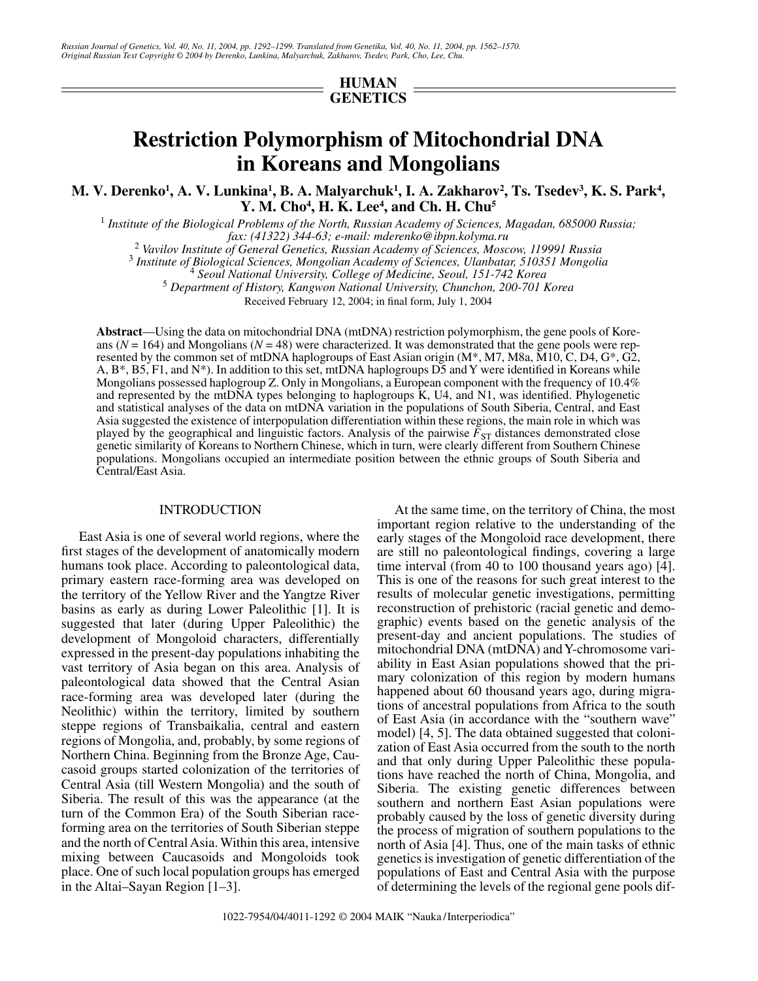## **HUMAN GENETICS**

# **Restriction Polymorphism of Mitochondrial DNA in Koreans and Mongolians**

**M. V. Derenko<sup>1</sup>, A. V. Lunkina<sup>1</sup>, B. A. Malyarchuk<sup>1</sup>, I. A. Zakharov<sup>2</sup>, Ts. Tsedev<sup>3</sup>, K. S. Park<sup>4</sup>, Y. M. Cho4 , H. K. Lee4 , and Ch. H. Chu5**

1  *Institute of the Biological Problems of the North, Russian Academy of Sciences, Magadan, 685000 Russia;*

*fax: (41322) 344-63; e-mail: mderenko@ibpn.kolyma.ru* <sup>2</sup>

 *Vavilov Institute of General Genetics, Russian Academy of Sciences, Moscow, 119991 Russia* <sup>3</sup>

 *Institute of Biological Sciences, Mongolian Academy of Sciences, Ulanbatar, 510351 Mongolia* <sup>4</sup>

 *Seoul National University, College of Medicine, Seoul, 151-742 Korea* <sup>5</sup>  *Department of History, Kangwon National University, Chunchon, 200-701 Korea*

Received February 12, 2004; in final form, July 1, 2004

**Abstract**—Using the data on mitochondrial DNA (mtDNA) restriction polymorphism, the gene pools of Koreans ( $N = 164$ ) and Mongolians ( $N = 48$ ) were characterized. It was demonstrated that the gene pools were represented by the common set of mtDNA haplogroups of East Asian origin  $(M^*, M7, M8a, M10, C, D4, G^*, G2,$ A, B\*, B5, F1, and N\*). In addition to this set, mtDNA haplogroups D5 and Y were identified in Koreans while Mongolians possessed haplogroup Z. Only in Mongolians, a European component with the frequency of 10.4% and represented by the mtDNA types belonging to haplogroups K, U4, and N1, was identified. Phylogenetic and statistical analyses of the data on mtDNA variation in the populations of South Siberia, Central, and East Asia suggested the existence of interpopulation differentiation within these regions, the main role in which was played by the geographical and linguistic factors. Analysis of the pairwise  $F_{ST}$  distances demonstrated close genetic similarity of Koreans to Northern Chinese, which in turn, were clearly different from Southern Chinese populations. Mongolians occupied an intermediate position between the ethnic groups of South Siberia and Central/East Asia.

## INTRODUCTION

East Asia is one of several world regions, where the first stages of the development of anatomically modern humans took place. According to paleontological data, primary eastern race-forming area was developed on the territory of the Yellow River and the Yangtze River basins as early as during Lower Paleolithic [1]. It is suggested that later (during Upper Paleolithic) the development of Mongoloid characters, differentially expressed in the present-day populations inhabiting the vast territory of Asia began on this area. Analysis of paleontological data showed that the Central Asian race-forming area was developed later (during the Neolithic) within the territory, limited by southern steppe regions of Transbaikalia, central and eastern regions of Mongolia, and, probably, by some regions of Northern China. Beginning from the Bronze Age, Caucasoid groups started colonization of the territories of Central Asia (till Western Mongolia) and the south of Siberia. The result of this was the appearance (at the turn of the Common Era) of the South Siberian raceforming area on the territories of South Siberian steppe and the north of Central Asia. Within this area, intensive mixing between Caucasoids and Mongoloids took place. One of such local population groups has emerged in the Altai–Sayan Region [1–3].

At the same time, on the territory of China, the most important region relative to the understanding of the early stages of the Mongoloid race development, there are still no paleontological findings, covering a large time interval (from 40 to 100 thousand years ago) [4]. This is one of the reasons for such great interest to the results of molecular genetic investigations, permitting reconstruction of prehistoric (racial genetic and demographic) events based on the genetic analysis of the present-day and ancient populations. The studies of mitochondrial DNA (mtDNA) and Y-chromosome variability in East Asian populations showed that the primary colonization of this region by modern humans happened about 60 thousand years ago, during migrations of ancestral populations from Africa to the south of East Asia (in accordance with the "southern wave" model) [4, 5]. The data obtained suggested that colonization of East Asia occurred from the south to the north and that only during Upper Paleolithic these populations have reached the north of China, Mongolia, and Siberia. The existing genetic differences between southern and northern East Asian populations were probably caused by the loss of genetic diversity during the process of migration of southern populations to the north of Asia [4]. Thus, one of the main tasks of ethnic genetics is investigation of genetic differentiation of the populations of East and Central Asia with the purpose of determining the levels of the regional gene pools dif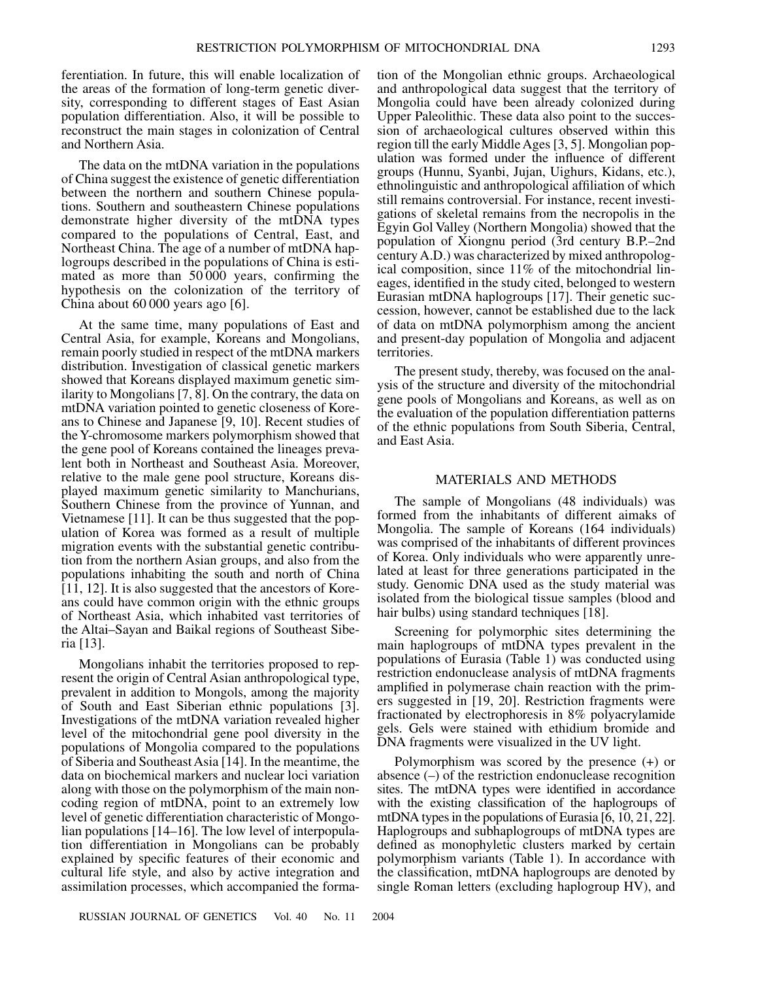ferentiation. In future, this will enable localization of the areas of the formation of long-term genetic diversity, corresponding to different stages of East Asian population differentiation. Also, it will be possible to reconstruct the main stages in colonization of Central and Northern Asia.

The data on the mtDNA variation in the populations of China suggest the existence of genetic differentiation between the northern and southern Chinese populations. Southern and southeastern Chinese populations demonstrate higher diversity of the mtDNA types compared to the populations of Central, East, and Northeast China. The age of a number of mtDNA haplogroups described in the populations of China is estimated as more than 50 000 years, confirming the hypothesis on the colonization of the territory of China about 60 000 years ago [6].

At the same time, many populations of East and Central Asia, for example, Koreans and Mongolians, remain poorly studied in respect of the mtDNA markers distribution. Investigation of classical genetic markers showed that Koreans displayed maximum genetic similarity to Mongolians [7, 8]. On the contrary, the data on mtDNA variation pointed to genetic closeness of Koreans to Chinese and Japanese [9, 10]. Recent studies of the Y-chromosome markers polymorphism showed that the gene pool of Koreans contained the lineages prevalent both in Northeast and Southeast Asia. Moreover, relative to the male gene pool structure, Koreans displayed maximum genetic similarity to Manchurians, Southern Chinese from the province of Yunnan, and Vietnamese [11]. It can be thus suggested that the population of Korea was formed as a result of multiple migration events with the substantial genetic contribution from the northern Asian groups, and also from the populations inhabiting the south and north of China [11, 12]. It is also suggested that the ancestors of Koreans could have common origin with the ethnic groups of Northeast Asia, which inhabited vast territories of the Altai–Sayan and Baikal regions of Southeast Siberia [13].

Mongolians inhabit the territories proposed to represent the origin of Central Asian anthropological type, prevalent in addition to Mongols, among the majority of South and East Siberian ethnic populations [3]. Investigations of the mtDNA variation revealed higher level of the mitochondrial gene pool diversity in the populations of Mongolia compared to the populations of Siberia and Southeast Asia [14]. In the meantime, the data on biochemical markers and nuclear loci variation along with those on the polymorphism of the main noncoding region of mtDNA, point to an extremely low level of genetic differentiation characteristic of Mongolian populations [14–16]. The low level of interpopulation differentiation in Mongolians can be probably explained by specific features of their economic and cultural life style, and also by active integration and assimilation processes, which accompanied the forma-

tion of the Mongolian ethnic groups. Archaeological and anthropological data suggest that the territory of Mongolia could have been already colonized during Upper Paleolithic. These data also point to the succession of archaeological cultures observed within this region till the early Middle Ages [3, 5]. Mongolian population was formed under the influence of different groups (Hunnu, Syanbi, Jujan, Uighurs, Kidans, etc.), ethnolinguistic and anthropological affiliation of which still remains controversial. For instance, recent investigations of skeletal remains from the necropolis in the Egyin Gol Valley (Northern Mongolia) showed that the population of Xiongnu period (3rd century B.P.–2nd century A.D.) was characterized by mixed anthropological composition, since 11% of the mitochondrial lineages, identified in the study cited, belonged to western Eurasian mtDNA haplogroups [17]. Their genetic succession, however, cannot be established due to the lack of data on mtDNA polymorphism among the ancient and present-day population of Mongolia and adjacent territories.

The present study, thereby, was focused on the analysis of the structure and diversity of the mitochondrial gene pools of Mongolians and Koreans, as well as on the evaluation of the population differentiation patterns of the ethnic populations from South Siberia, Central, and East Asia.

## MATERIALS AND METHODS

The sample of Mongolians (48 individuals) was formed from the inhabitants of different aimaks of Mongolia. The sample of Koreans (164 individuals) was comprised of the inhabitants of different provinces of Korea. Only individuals who were apparently unrelated at least for three generations participated in the study. Genomic DNA used as the study material was isolated from the biological tissue samples (blood and hair bulbs) using standard techniques [18].

Screening for polymorphic sites determining the main haplogroups of mtDNA types prevalent in the populations of Eurasia (Table 1) was conducted using restriction endonuclease analysis of mtDNA fragments amplified in polymerase chain reaction with the primers suggested in [19, 20]. Restriction fragments were fractionated by electrophoresis in 8% polyacrylamide gels. Gels were stained with ethidium bromide and DNA fragments were visualized in the UV light.

Polymorphism was scored by the presence (+) or absence (–) of the restriction endonuclease recognition sites. The mtDNA types were identified in accordance with the existing classification of the haplogroups of mtDNA types in the populations of Eurasia [6, 10, 21, 22]. Haplogroups and subhaplogroups of mtDNA types are defined as monophyletic clusters marked by certain polymorphism variants (Table 1). In accordance with the classification, mtDNA haplogroups are denoted by single Roman letters (excluding haplogroup HV), and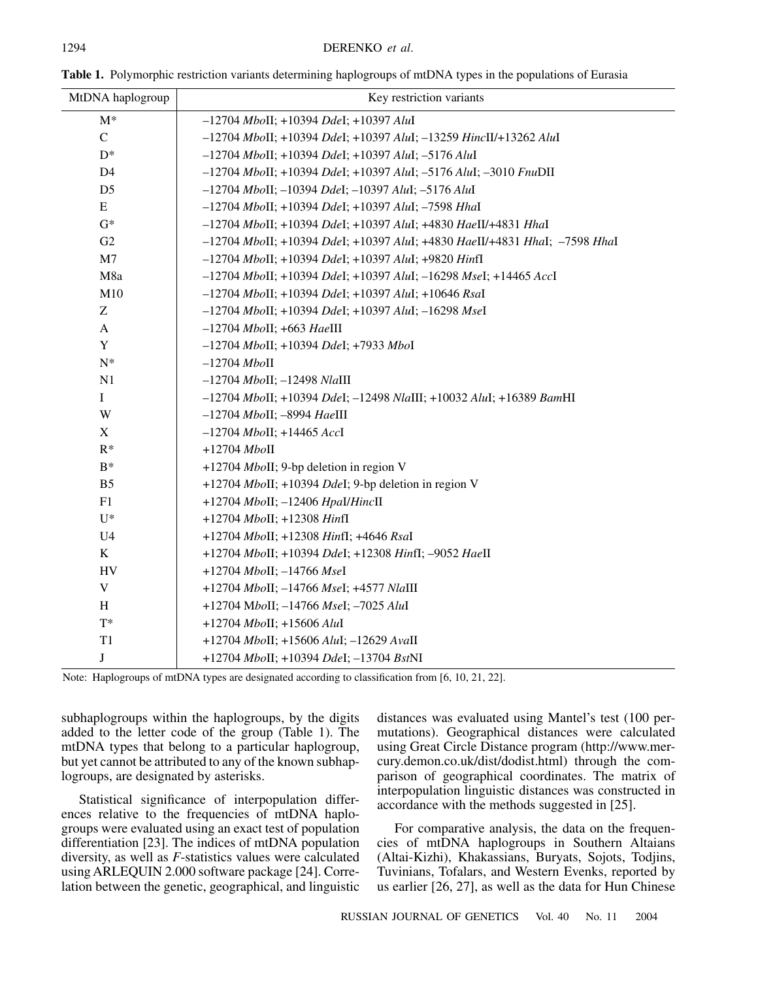#### DERENKO *et al*.

|  | Table 1. Polymorphic restriction variants determining haplogroups of mtDNA types in the populations of Eurasia |  |  |  |  |
|--|----------------------------------------------------------------------------------------------------------------|--|--|--|--|
|  |                                                                                                                |  |  |  |  |

| MtDNA haplogroup          | Key restriction variants                                                   |
|---------------------------|----------------------------------------------------------------------------|
| $M^*$                     | -12704 MboII; +10394 DdeI; +10397 AluI                                     |
| $\mathbf C$               | -12704 MboII; +10394 DdeI; +10397 AluI; -13259 HincII/+13262 AluI          |
| $D^*$                     | -12704 MboII; +10394 DdeI; +10397 AluI; -5176 AluI                         |
| D <sub>4</sub>            | -12704 MboII; +10394 DdeI; +10397 AluI; -5176 AluI; -3010 FnuDII           |
| D <sub>5</sub>            | -12704 MboII; -10394 DdeI; -10397 AluI; -5176 AluI                         |
| E                         | -12704 MboII; +10394 DdeI; +10397 AluI; -7598 HhaI                         |
| $G^*$                     | -12704 MboII; +10394 DdeI; +10397 AluI; +4830 HaeII/+4831 HhaI             |
| G2                        | -12704 MboII; +10394 DdeI; +10397 AluI; +4830 HaeII/+4831 HhaI; -7598 HhaI |
| M7                        | -12704 MboII; +10394 DdeI; +10397 AluI; +9820 HinfI                        |
| M8a                       | -12704 MboII; +10394 DdeI; +10397 AluI; -16298 MseI; +14465 AccI           |
| M10                       | -12704 MboII; +10394 DdeI; +10397 AluI; +10646 RsaI                        |
| $\ensuremath{\mathbf{Z}}$ | -12704 MboII; +10394 DdeI; +10397 AluI; -16298 MseI                        |
| $\mathbf{A}$              | $-12704$ MboII; +663 HaeIII                                                |
| Y                         | -12704 MboII; +10394 DdeI; +7933 MboI                                      |
| ${\rm N^*}$               | $-12704$ MboII                                                             |
| N1                        | $-12704 MboII$ ; $-12498 NlaIII$                                           |
| $\bf{I}$                  | -12704 MboII; +10394 DdeI; -12498 NlaIII; +10032 AluI; +16389 BamHI        |
| W                         | -12704 MboII; -8994 HaeIII                                                 |
| X                         | $-12704 MboII$ ; +14465 AccI                                               |
| $R^*$                     | $+12704$ $Mbo$ II                                                          |
| $\mathbf{B}^*$            | +12704 MboII; 9-bp deletion in region V                                    |
| B <sub>5</sub>            | +12704 MboII; +10394 DdeI; 9-bp deletion in region V                       |
| F1                        | +12704 MboII; -12406 Hpal/HincII                                           |
| $\mathbf{U}^*$            | +12704 MboII; +12308 HinfI                                                 |
| U <sub>4</sub>            | +12704 MboII; +12308 HinfI; +4646 RsaI                                     |
| K                         | +12704 MboII; +10394 DdeI; +12308 HinfI; -9052 HaeII                       |
| <b>HV</b>                 | +12704 MboII; -14766 MseI                                                  |
| $\mathbf V$               | +12704 MboII; -14766 MseI; +4577 NlaIII                                    |
| H                         | +12704 MboII; -14766 MseI; -7025 AluI                                      |
| $T^*$                     | $+12704 MboII$ ; $+15606 AluI$                                             |
| T1                        | +12704 MboII; +15606 AluI; -12629 AvaII                                    |
| J                         | +12704 MboII; +10394 DdeI; -13704 BstNI                                    |

Note: Haplogroups of mtDNA types are designated according to classification from [6, 10, 21, 22].

subhaplogroups within the haplogroups, by the digits added to the letter code of the group (Table 1). The mtDNA types that belong to a particular haplogroup, but yet cannot be attributed to any of the known subhaplogroups, are designated by asterisks.

Statistical significance of interpopulation differences relative to the frequencies of mtDNA haplogroups were evaluated using an exact test of population differentiation [23]. The indices of mtDNA population diversity, as well as *F*-statistics values were calculated using ARLEQUIN 2.000 software package [24]. Correlation between the genetic, geographical, and linguistic distances was evaluated using Mantel's test (100 permutations). Geographical distances were calculated using Great Circle Distance program (http://www.mercury.demon.co.uk/dist/dodist.html) through the comparison of geographical coordinates. The matrix of interpopulation linguistic distances was constructed in accordance with the methods suggested in [25].

For comparative analysis, the data on the frequencies of mtDNA haplogroups in Southern Altaians (Altai-Kizhi), Khakassians, Buryats, Sojots, Todjins, Tuvinians, Tofalars, and Western Evenks, reported by us earlier [26, 27], as well as the data for Hun Chinese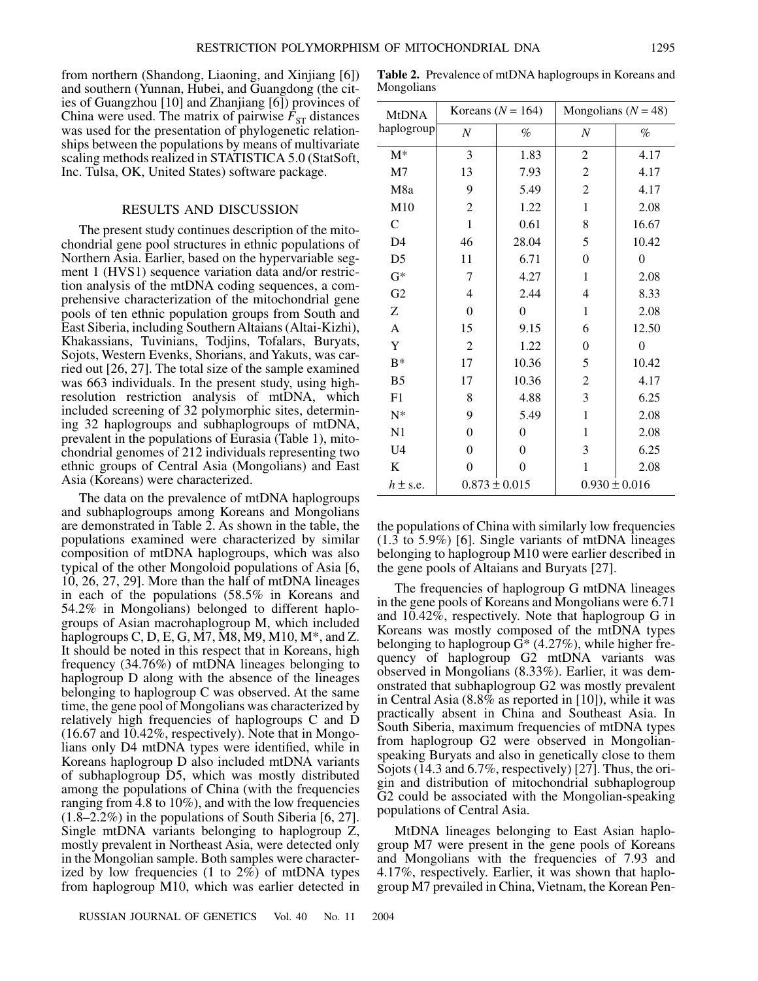from northern (Shandong, Liaoning, and Xinjiang [6]) and southern (Yunnan, Hubei, and Guangdong (the cities of Guangzhou [10] and Zhanjiang [6]) provinces of China were used. The matrix of pairwise  $F_{ST}$  distances was used for the presentation of phylogenetic relationships between the populations by means of multivariate scaling methods realized in STATISTICA 5.0 (StatSoft, Inc. Tulsa, OK, United States) software package.

### RESULTS AND DISCUSSION

The present study continues description of the mitochondrial gene pool structures in ethnic populations of Northern Asia. Earlier, based on the hypervariable segment 1 (HVS1) sequence variation data and/or restriction analysis of the mtDNA coding sequences, a comprehensive characterization of the mitochondrial gene pools of ten ethnic population groups from South and East Siberia, including Southern Altaians (Altai-Kizhi), Khakassians, Tuvinians, Todjins, Tofalars, Buryats, Sojots, Western Evenks, Shorians, and Yakuts, was carried out [26, 27]. The total size of the sample examined was 663 individuals. In the present study, using highresolution restriction analysis of mtDNA, which included screening of 32 polymorphic sites, determining 32 haplogroups and subhaplogroups of mtDNA, prevalent in the populations of Eurasia (Table 1), mitochondrial genomes of 212 individuals representing two ethnic groups of Central Asia (Mongolians) and East Asia (Koreans) were characterized.

The data on the prevalence of mtDNA haplogroups and subhaplogroups among Koreans and Mongolians are demonstrated in Table 2. As shown in the table, the populations examined were characterized by similar composition of mtDNA haplogroups, which was also typical of the other Mongoloid populations of Asia [6, 10, 26, 27, 29]. More than the half of mtDNA lineages in each of the populations (58.5% in Koreans and 54.2% in Mongolians) belonged to different haplogroups of Asian macrohaplogroup M, which included haplogroups C, D, E, G, M7, M8, M9, M10,  $M^*$ , and Z. It should be noted in this respect that in Koreans, high frequency (34.76%) of mtDNA lineages belonging to haplogroup D along with the absence of the lineages belonging to haplogroup C was observed. At the same time, the gene pool of Mongolians was characterized by relatively high frequencies of haplogroups C and D (16.67 and 10.42%, respectively). Note that in Mongolians only D4 mtDNA types were identified, while in Koreans haplogroup D also included mtDNA variants of subhaplogroup D5, which was mostly distributed among the populations of China (with the frequencies ranging from 4.8 to 10%), and with the low frequencies (1.8–2.2%) in the populations of South Siberia [6, 27]. Single mtDNA variants belonging to haplogroup Z, mostly prevalent in Northeast Asia, were detected only in the Mongolian sample. Both samples were characterized by low frequencies (1 to 2%) of mtDNA types from haplogroup M10, which was earlier detected in

|            | Table 2. Prevalence of mtDNA haplogroups in Koreans and |  |
|------------|---------------------------------------------------------|--|
| Mongolians |                                                         |  |

| <b>MtDNA</b>   | Koreans ( $N = 164$ ) |                | Mongolians ( $N = 48$ ) |                |  |
|----------------|-----------------------|----------------|-------------------------|----------------|--|
| haplogroup     | $\boldsymbol{N}$      | $\%$           | N                       | $\%$           |  |
| $M^*$          | 3                     | 1.83           | 2                       | 4.17           |  |
| M <sub>7</sub> | 13                    | 7.93           | $\overline{2}$          | 4.17           |  |
| M8a            | 9                     | 5.49           | $\overline{2}$          | 4.17           |  |
| M10            | 2                     | 1.22           | 1                       | 2.08           |  |
| C              | 1                     | 0.61           | 8                       | 16.67          |  |
| D <sub>4</sub> | 46                    | 28.04          | 5                       | 10.42          |  |
| D <sub>5</sub> | 11                    | 6.71           | $\theta$                | $\theta$       |  |
| $G^*$          | 7                     | 4.27           | 1                       | 2.08           |  |
| G2             | $\overline{4}$        | 2.44           | $\overline{4}$          | 8.33           |  |
| Ζ              | $\overline{0}$        | $\theta$       | 1                       | 2.08           |  |
| $\mathsf{A}$   | 15                    | 9.15           | 6                       | 12.50          |  |
| $\mathbf Y$    | $\overline{2}$        | 1.22           | $\theta$                | $\overline{0}$ |  |
| $B^*$          | 17                    | 10.36          | 5                       | 10.42          |  |
| B <sub>5</sub> | 17                    | 10.36          | $\overline{2}$          | 4.17           |  |
| F1             | 8                     | 4.88           | 3                       | 6.25           |  |
| $N^*$          | 9                     | 5.49           | 1                       | 2.08           |  |
| N1             | $\theta$              | $\theta$       | 1                       | 2.08           |  |
| U <sub>4</sub> | $\overline{0}$        | 0              | 3                       | 6.25           |  |
| K              | $\overline{0}$        | $\overline{0}$ | $\mathbf{1}$            | 2.08           |  |
| $h \pm$ s.e.   | $0.873 \pm 0.015$     |                | $0.930 \pm 0.016$       |                |  |

the populations of China with similarly low frequencies (1.3 to 5.9%) [6]. Single variants of mtDNA lineages belonging to haplogroup M10 were earlier described in the gene pools of Altaians and Buryats [27].

The frequencies of haplogroup G mtDNA lineages in the gene pools of Koreans and Mongolians were 6.71 and 10.42%, respectively. Note that haplogroup G in Koreans was mostly composed of the mtDNA types belonging to haplogroup  $G^*(4.27\%)$ , while higher frequency of haplogroup G2 mtDNA variants was observed in Mongolians (8.33%). Earlier, it was demonstrated that subhaplogroup G2 was mostly prevalent in Central Asia (8.8% as reported in [10]), while it was practically absent in China and Southeast Asia. In South Siberia, maximum frequencies of mtDNA types from haplogroup G2 were observed in Mongolianspeaking Buryats and also in genetically close to them Sojots (14.3 and 6.7%, respectively) [27]. Thus, the origin and distribution of mitochondrial subhaplogroup G2 could be associated with the Mongolian-speaking populations of Central Asia.

MtDNA lineages belonging to East Asian haplogroup M7 were present in the gene pools of Koreans and Mongolians with the frequencies of 7.93 and 4.17%, respectively. Earlier, it was shown that haplogroup M7 prevailed in China, Vietnam, the Korean Pen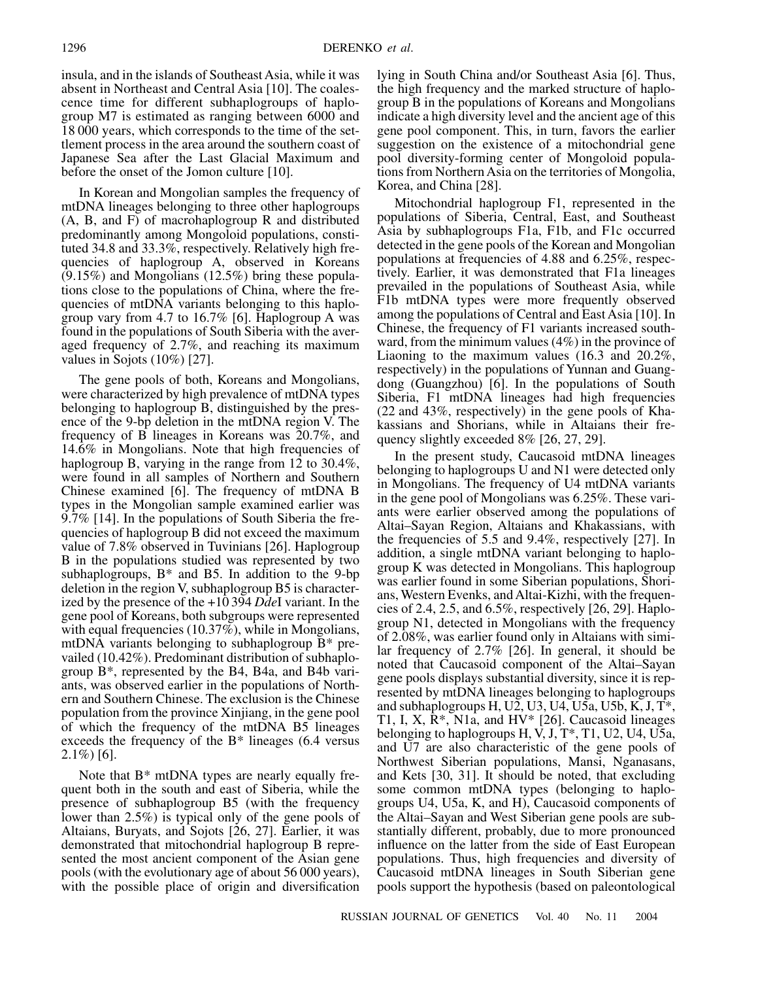insula, and in the islands of Southeast Asia, while it was absent in Northeast and Central Asia [10]. The coalescence time for different subhaplogroups of haplogroup M7 is estimated as ranging between 6000 and 18 000 years, which corresponds to the time of the settlement process in the area around the southern coast of Japanese Sea after the Last Glacial Maximum and before the onset of the Jomon culture [10].

In Korean and Mongolian samples the frequency of mtDNA lineages belonging to three other haplogroups (A, B, and F) of macrohaplogroup R and distributed predominantly among Mongoloid populations, constituted 34.8 and 33.3%, respectively. Relatively high frequencies of haplogroup A, observed in Koreans (9.15%) and Mongolians (12.5%) bring these populations close to the populations of China, where the frequencies of mtDNA variants belonging to this haplogroup vary from 4.7 to 16.7% [6]. Haplogroup A was found in the populations of South Siberia with the averaged frequency of 2.7%, and reaching its maximum values in Sojots (10%) [27].

The gene pools of both, Koreans and Mongolians, were characterized by high prevalence of mtDNA types belonging to haplogroup B, distinguished by the presence of the 9-bp deletion in the mtDNA region V. The frequency of B lineages in Koreans was 20.7%, and 14.6% in Mongolians. Note that high frequencies of haplogroup B, varying in the range from 12 to 30.4%, were found in all samples of Northern and Southern Chinese examined [6]. The frequency of mtDNA B types in the Mongolian sample examined earlier was 9.7% [14]. In the populations of South Siberia the frequencies of haplogroup B did not exceed the maximum value of 7.8% observed in Tuvinians [26]. Haplogroup B in the populations studied was represented by two subhaplogroups,  $B^*$  and B5. In addition to the 9-bp deletion in the region V, subhaplogroup B5 is characterized by the presence of the +10 394 *Dde*I variant. In the gene pool of Koreans, both subgroups were represented with equal frequencies (10.37%), while in Mongolians, mtDNA variants belonging to subhaplogroup B\* prevailed (10.42%). Predominant distribution of subhaplogroup B\*, represented by the B4, B4a, and B4b variants, was observed earlier in the populations of Northern and Southern Chinese. The exclusion is the Chinese population from the province Xinjiang, in the gene pool of which the frequency of the mtDNA B5 lineages exceeds the frequency of the  $B^*$  lineages (6.4 versus  $2.1\%$ ) [6].

Note that B\* mtDNA types are nearly equally frequent both in the south and east of Siberia, while the presence of subhaplogroup B5 (with the frequency lower than 2.5%) is typical only of the gene pools of Altaians, Buryats, and Sojots [26, 27]. Earlier, it was demonstrated that mitochondrial haplogroup B represented the most ancient component of the Asian gene pools (with the evolutionary age of about 56 000 years), with the possible place of origin and diversification lying in South China and/or Southeast Asia [6]. Thus, the high frequency and the marked structure of haplogroup B in the populations of Koreans and Mongolians indicate a high diversity level and the ancient age of this gene pool component. This, in turn, favors the earlier suggestion on the existence of a mitochondrial gene pool diversity-forming center of Mongoloid populations from Northern Asia on the territories of Mongolia, Korea, and China [28].

Mitochondrial haplogroup F1, represented in the populations of Siberia, Central, East, and Southeast Asia by subhaplogroups F1a, F1b, and F1c occurred detected in the gene pools of the Korean and Mongolian populations at frequencies of 4.88 and 6.25%, respectively. Earlier, it was demonstrated that F1a lineages prevailed in the populations of Southeast Asia, while F1b mtDNA types were more frequently observed among the populations of Central and East Asia [10]. In Chinese, the frequency of F1 variants increased southward, from the minimum values (4%) in the province of Liaoning to the maximum values (16.3 and 20.2%, respectively) in the populations of Yunnan and Guangdong (Guangzhou) [6]. In the populations of South Siberia, F1 mtDNA lineages had high frequencies (22 and 43%, respectively) in the gene pools of Khakassians and Shorians, while in Altaians their frequency slightly exceeded 8% [26, 27, 29].

In the present study, Caucasoid mtDNA lineages belonging to haplogroups U and N1 were detected only in Mongolians. The frequency of U4 mtDNA variants in the gene pool of Mongolians was 6.25%. These variants were earlier observed among the populations of Altai–Sayan Region, Altaians and Khakassians, with the frequencies of 5.5 and 9.4%, respectively [27]. In addition, a single mtDNA variant belonging to haplogroup K was detected in Mongolians. This haplogroup was earlier found in some Siberian populations, Shorians, Western Evenks, and Altai-Kizhi, with the frequencies of 2.4, 2.5, and 6.5%, respectively [26, 29]. Haplogroup N1, detected in Mongolians with the frequency of 2.08%, was earlier found only in Altaians with similar frequency of 2.7% [26]. In general, it should be noted that Caucasoid component of the Altai–Sayan gene pools displays substantial diversity, since it is represented by mtDNA lineages belonging to haplogroups and subhaplogroups H, U2, U3, U4, U5a, U5b, K, J, T\*, T1, I, X, R\*, N1a, and HV\* [26]. Caucasoid lineages belonging to haplogroups H, V, J, T\*, T1, U2, U4, U5a, and U7 are also characteristic of the gene pools of Northwest Siberian populations, Mansi, Nganasans, and Kets [30, 31]. It should be noted, that excluding some common mtDNA types (belonging to haplogroups U4, U5a, K, and H), Caucasoid components of the Altai–Sayan and West Siberian gene pools are substantially different, probably, due to more pronounced influence on the latter from the side of East European populations. Thus, high frequencies and diversity of Caucasoid mtDNA lineages in South Siberian gene pools support the hypothesis (based on paleontological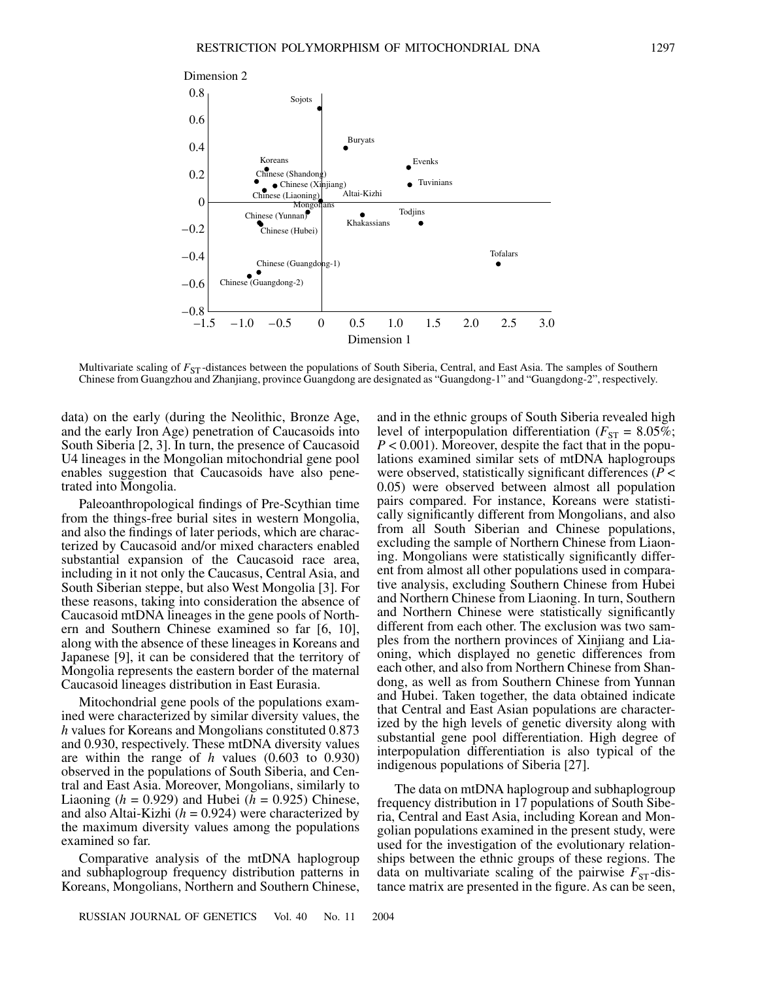

Multivariate scaling of  $F_{ST}$ -distances between the populations of South Siberia, Central, and East Asia. The samples of Southern Chinese from Guangzhou and Zhanjiang, province Guangdong are designated as "Guangdong-1" and "Guangdong-2", respectively.

data) on the early (during the Neolithic, Bronze Age, and the early Iron Age) penetration of Caucasoids into South Siberia [2, 3]. In turn, the presence of Caucasoid U4 lineages in the Mongolian mitochondrial gene pool enables suggestion that Caucasoids have also penetrated into Mongolia.

Paleoanthropological findings of Pre-Scythian time from the things-free burial sites in western Mongolia, and also the findings of later periods, which are characterized by Caucasoid and/or mixed characters enabled substantial expansion of the Caucasoid race area, including in it not only the Caucasus, Central Asia, and South Siberian steppe, but also West Mongolia [3]. For these reasons, taking into consideration the absence of Caucasoid mtDNA lineages in the gene pools of Northern and Southern Chinese examined so far [6, 10], along with the absence of these lineages in Koreans and Japanese [9], it can be considered that the territory of Mongolia represents the eastern border of the maternal Caucasoid lineages distribution in East Eurasia.

Mitochondrial gene pools of the populations examined were characterized by similar diversity values, the *h* values for Koreans and Mongolians constituted 0.873 and 0.930, respectively. These mtDNA diversity values are within the range of *h* values (0.603 to 0.930) observed in the populations of South Siberia, and Central and East Asia. Moreover, Mongolians, similarly to Liaoning  $(h = 0.929)$  and Hubei  $(h = 0.925)$  Chinese, and also Altai-Kizhi  $(h = 0.924)$  were characterized by the maximum diversity values among the populations examined so far.

Comparative analysis of the mtDNA haplogroup and subhaplogroup frequency distribution patterns in Koreans, Mongolians, Northern and Southern Chinese,

RUSSIAN JOURNAL OF GENETICS Vol. 40 No. 11 2004

and in the ethnic groups of South Siberia revealed high level of interpopulation differentiation ( $F_{ST} = 8.05\%$ ; *P* < 0.001). Moreover, despite the fact that in the populations examined similar sets of mtDNA haplogroups were observed, statistically significant differences (*P* < 0.05) were observed between almost all population pairs compared. For instance, Koreans were statistically significantly different from Mongolians, and also from all South Siberian and Chinese populations, excluding the sample of Northern Chinese from Liaoning. Mongolians were statistically significantly different from almost all other populations used in comparative analysis, excluding Southern Chinese from Hubei and Northern Chinese from Liaoning. In turn, Southern and Northern Chinese were statistically significantly different from each other. The exclusion was two samples from the northern provinces of Xinjiang and Liaoning, which displayed no genetic differences from each other, and also from Northern Chinese from Shandong, as well as from Southern Chinese from Yunnan and Hubei. Taken together, the data obtained indicate that Central and East Asian populations are characterized by the high levels of genetic diversity along with substantial gene pool differentiation. High degree of interpopulation differentiation is also typical of the indigenous populations of Siberia [27].

The data on mtDNA haplogroup and subhaplogroup frequency distribution in 17 populations of South Siberia, Central and East Asia, including Korean and Mongolian populations examined in the present study, were used for the investigation of the evolutionary relationships between the ethnic groups of these regions. The data on multivariate scaling of the pairwise  $F_{ST}$ -distance matrix are presented in the figure. As can be seen,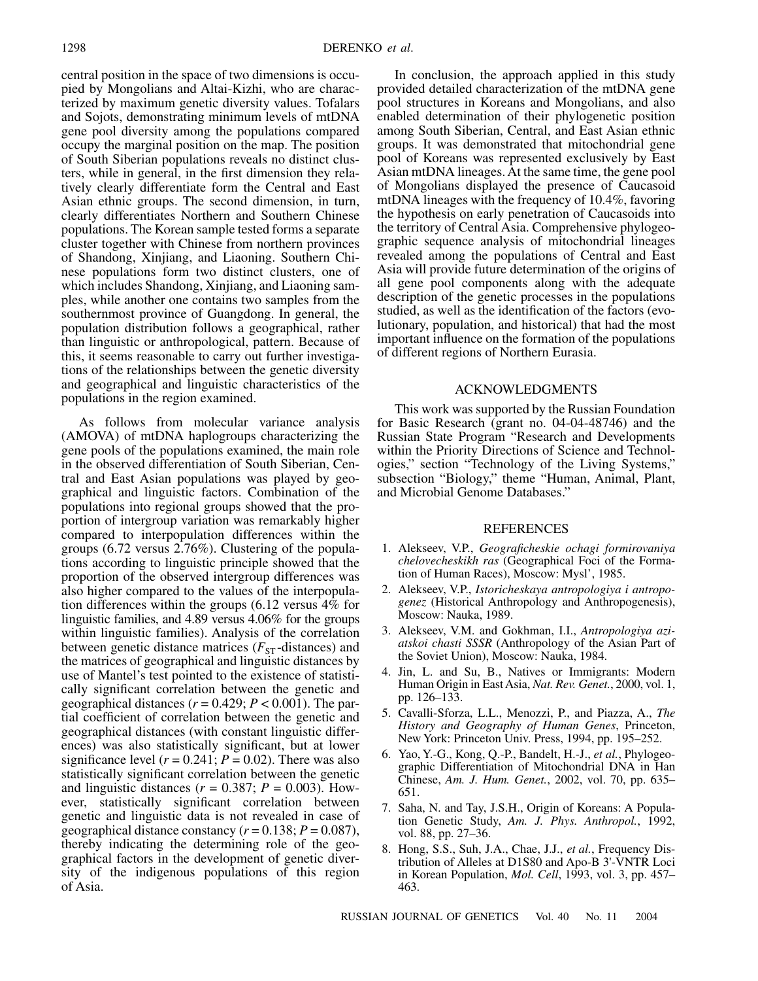central position in the space of two dimensions is occupied by Mongolians and Altai-Kizhi, who are characterized by maximum genetic diversity values. Tofalars and Sojots, demonstrating minimum levels of mtDNA gene pool diversity among the populations compared occupy the marginal position on the map. The position of South Siberian populations reveals no distinct clusters, while in general, in the first dimension they relatively clearly differentiate form the Central and East Asian ethnic groups. The second dimension, in turn, clearly differentiates Northern and Southern Chinese populations. The Korean sample tested forms a separate cluster together with Chinese from northern provinces of Shandong, Xinjiang, and Liaoning. Southern Chinese populations form two distinct clusters, one of which includes Shandong, Xinjiang, and Liaoning samples, while another one contains two samples from the southernmost province of Guangdong. In general, the population distribution follows a geographical, rather than linguistic or anthropological, pattern. Because of this, it seems reasonable to carry out further investigations of the relationships between the genetic diversity and geographical and linguistic characteristics of the populations in the region examined.

As follows from molecular variance analysis (AMOVA) of mtDNA haplogroups characterizing the gene pools of the populations examined, the main role in the observed differentiation of South Siberian, Central and East Asian populations was played by geographical and linguistic factors. Combination of the populations into regional groups showed that the proportion of intergroup variation was remarkably higher compared to interpopulation differences within the groups (6.72 versus 2.76%). Clustering of the populations according to linguistic principle showed that the proportion of the observed intergroup differences was also higher compared to the values of the interpopulation differences within the groups (6.12 versus 4% for linguistic families, and 4.89 versus 4.06% for the groups within linguistic families). Analysis of the correlation between genetic distance matrices  $(F_{ST}$ -distances) and the matrices of geographical and linguistic distances by use of Mantel's test pointed to the existence of statistically significant correlation between the genetic and geographical distances ( $r = 0.429$ ;  $P < 0.001$ ). The partial coefficient of correlation between the genetic and geographical distances (with constant linguistic differences) was also statistically significant, but at lower significance level  $(r = 0.241; P = 0.02)$ . There was also statistically significant correlation between the genetic and linguistic distances ( $r = 0.387$ ;  $P = 0.003$ ). However, statistically significant correlation between genetic and linguistic data is not revealed in case of geographical distance constancy  $(r = 0.138; P = 0.087)$ , thereby indicating the determining role of the geographical factors in the development of genetic diversity of the indigenous populations of this region of Asia.

In conclusion, the approach applied in this study provided detailed characterization of the mtDNA gene pool structures in Koreans and Mongolians, and also enabled determination of their phylogenetic position among South Siberian, Central, and East Asian ethnic groups. It was demonstrated that mitochondrial gene pool of Koreans was represented exclusively by East Asian mtDNA lineages. At the same time, the gene pool of Mongolians displayed the presence of Caucasoid mtDNA lineages with the frequency of 10.4%, favoring the hypothesis on early penetration of Caucasoids into the territory of Central Asia. Comprehensive phylogeographic sequence analysis of mitochondrial lineages revealed among the populations of Central and East Asia will provide future determination of the origins of all gene pool components along with the adequate description of the genetic processes in the populations studied, as well as the identification of the factors (evolutionary, population, and historical) that had the most important influence on the formation of the populations of different regions of Northern Eurasia.

## ACKNOWLEDGMENTS

This work was supported by the Russian Foundation for Basic Research (grant no. 04-04-48746) and the Russian State Program "Research and Developments within the Priority Directions of Science and Technologies," section "Technology of the Living Systems," subsection "Biology," theme "Human, Animal, Plant, and Microbial Genome Databases."

#### REFERENCES

- 1. Alekseev, V.P., *Geograficheskie ochagi formirovaniya chelovecheskikh ras* (Geographical Foci of the Formation of Human Races), Moscow: Mysl', 1985.
- 2. Alekseev, V.P., *Istoricheskaya antropologiya i antropogenez* (Historical Anthropology and Anthropogenesis), Moscow: Nauka, 1989.
- 3. Alekseev, V.M. and Gokhman, I.I., *Antropologiya aziatskoi chasti SSSR* (Anthropology of the Asian Part of the Soviet Union), Moscow: Nauka, 1984.
- 4. Jin, L. and Su, B., Natives or Immigrants: Modern Human Origin in East Asia, *Nat. Rev. Genet.*, 2000, vol. 1, pp. 126–133.
- 5. Cavalli-Sforza, L.L., Menozzi, P., and Piazza, A., *The History and Geography of Human Genes*, Princeton, New York: Princeton Univ. Press, 1994, pp. 195–252.
- 6. Yao, Y.-G., Kong, Q.-P., Bandelt, H.-J., *et al.*, Phylogeographic Differentiation of Mitochondrial DNA in Han Chinese, *Am. J. Hum. Genet.*, 2002, vol. 70, pp. 635– 651.
- 7. Saha, N. and Tay, J.S.H., Origin of Koreans: A Population Genetic Study, *Am. J. Phys. Anthropol.*, 1992, vol. 88, pp. 27–36.
- 8. Hong, S.S., Suh, J.A., Chae, J.J., *et al.*, Frequency Distribution of Alleles at D1S80 and Apo-B 3'-VNTR Loci in Korean Population, *Mol. Cell*, 1993, vol. 3, pp. 457– 463.